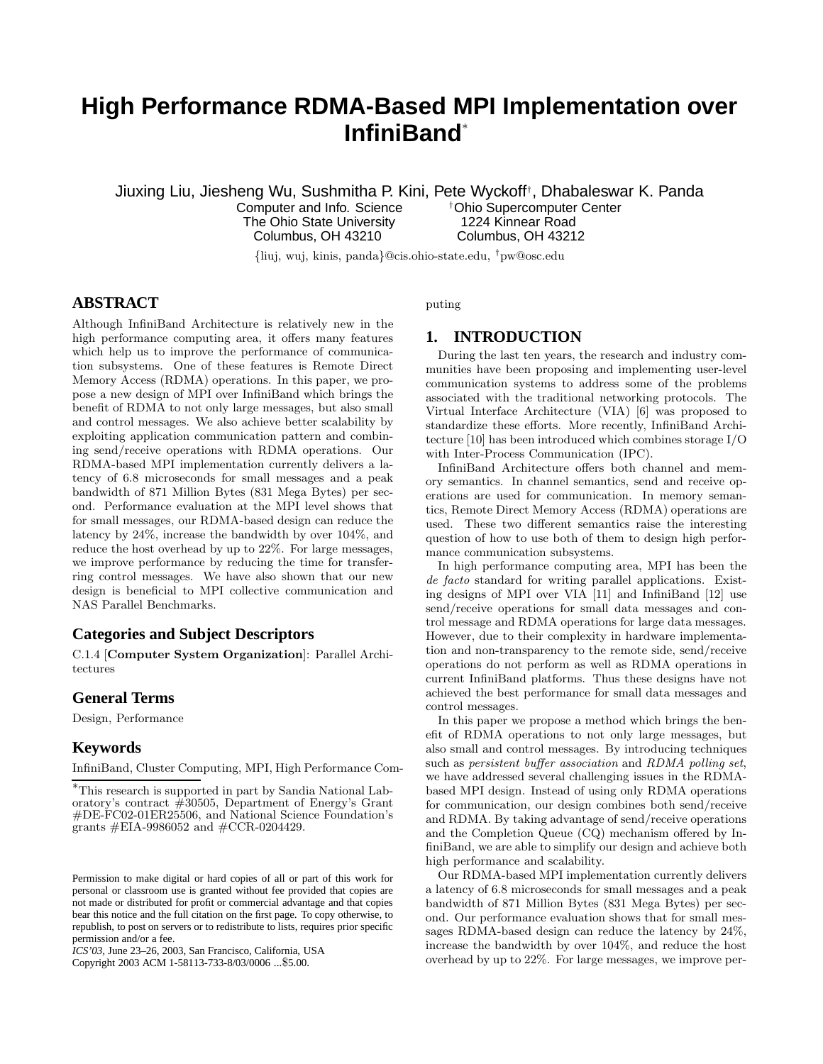# **High Performance RDMA-Based MPI Implementation over InfiniBand**<sup>∗</sup>

Jiuxing Liu, Jiesheng Wu, Sushmitha P. Kini, Pete Wyckoff† , Dhabaleswar K. Panda

The Ohio State University Columbus, OH 43210 Columbus, OH 43212

Computer and Info. Science <sup>†</sup>Ohio Supercomputer Center<br>The Ohio State University 1224 Kinnear Road

{liuj, wuj, kinis, panda}@cis.ohio-state.edu, †pw@osc.edu

# **ABSTRACT**

Although InfiniBand Architecture is relatively new in the high performance computing area, it offers many features which help us to improve the performance of communication subsystems. One of these features is Remote Direct Memory Access (RDMA) operations. In this paper, we propose a new design of MPI over InfiniBand which brings the benefit of RDMA to not only large messages, but also small and control messages. We also achieve better scalability by exploiting application communication pattern and combining send/receive operations with RDMA operations. Our RDMA-based MPI implementation currently delivers a latency of 6.8 microseconds for small messages and a peak bandwidth of 871 Million Bytes (831 Mega Bytes) per second. Performance evaluation at the MPI level shows that for small messages, our RDMA-based design can reduce the latency by 24%, increase the bandwidth by over 104%, and reduce the host overhead by up to 22%. For large messages, we improve performance by reducing the time for transferring control messages. We have also shown that our new design is beneficial to MPI collective communication and NAS Parallel Benchmarks.

# **Categories and Subject Descriptors**

C.1.4 [Computer System Organization]: Parallel Architectures

# **General Terms**

Design, Performance

## **Keywords**

InfiniBand, Cluster Computing, MPI, High Performance Com-

*ICS'03,* June 23–26, 2003, San Francisco, California, USA

Copyright 2003 ACM 1-58113-733-8/03/0006 ...\$5.00.

puting

# **1. INTRODUCTION**

During the last ten years, the research and industry communities have been proposing and implementing user-level communication systems to address some of the problems associated with the traditional networking protocols. The Virtual Interface Architecture (VIA) [6] was proposed to standardize these efforts. More recently, InfiniBand Architecture [10] has been introduced which combines storage I/O with Inter-Process Communication (IPC).

InfiniBand Architecture offers both channel and memory semantics. In channel semantics, send and receive operations are used for communication. In memory semantics, Remote Direct Memory Access (RDMA) operations are used. These two different semantics raise the interesting question of how to use both of them to design high performance communication subsystems.

In high performance computing area, MPI has been the de facto standard for writing parallel applications. Existing designs of MPI over VIA [11] and InfiniBand [12] use send/receive operations for small data messages and control message and RDMA operations for large data messages. However, due to their complexity in hardware implementation and non-transparency to the remote side, send/receive operations do not perform as well as RDMA operations in current InfiniBand platforms. Thus these designs have not achieved the best performance for small data messages and control messages.

In this paper we propose a method which brings the benefit of RDMA operations to not only large messages, but also small and control messages. By introducing techniques such as persistent buffer association and RDMA polling set, we have addressed several challenging issues in the RDMAbased MPI design. Instead of using only RDMA operations for communication, our design combines both send/receive and RDMA. By taking advantage of send/receive operations and the Completion Queue (CQ) mechanism offered by InfiniBand, we are able to simplify our design and achieve both high performance and scalability.

Our RDMA-based MPI implementation currently delivers a latency of 6.8 microseconds for small messages and a peak bandwidth of 871 Million Bytes (831 Mega Bytes) per second. Our performance evaluation shows that for small messages RDMA-based design can reduce the latency by 24%, increase the bandwidth by over 104%, and reduce the host overhead by up to 22%. For large messages, we improve per-

<sup>∗</sup>This research is supported in part by Sandia National Laboratory's contract #30505, Department of Energy's Grant #DE-FC02-01ER25506, and National Science Foundation's grants #EIA-9986052 and #CCR-0204429.

Permission to make digital or hard copies of all or part of this work for personal or classroom use is granted without fee provided that copies are not made or distributed for profit or commercial advantage and that copies bear this notice and the full citation on the first page. To copy otherwise, to republish, to post on servers or to redistribute to lists, requires prior specific permission and/or a fee.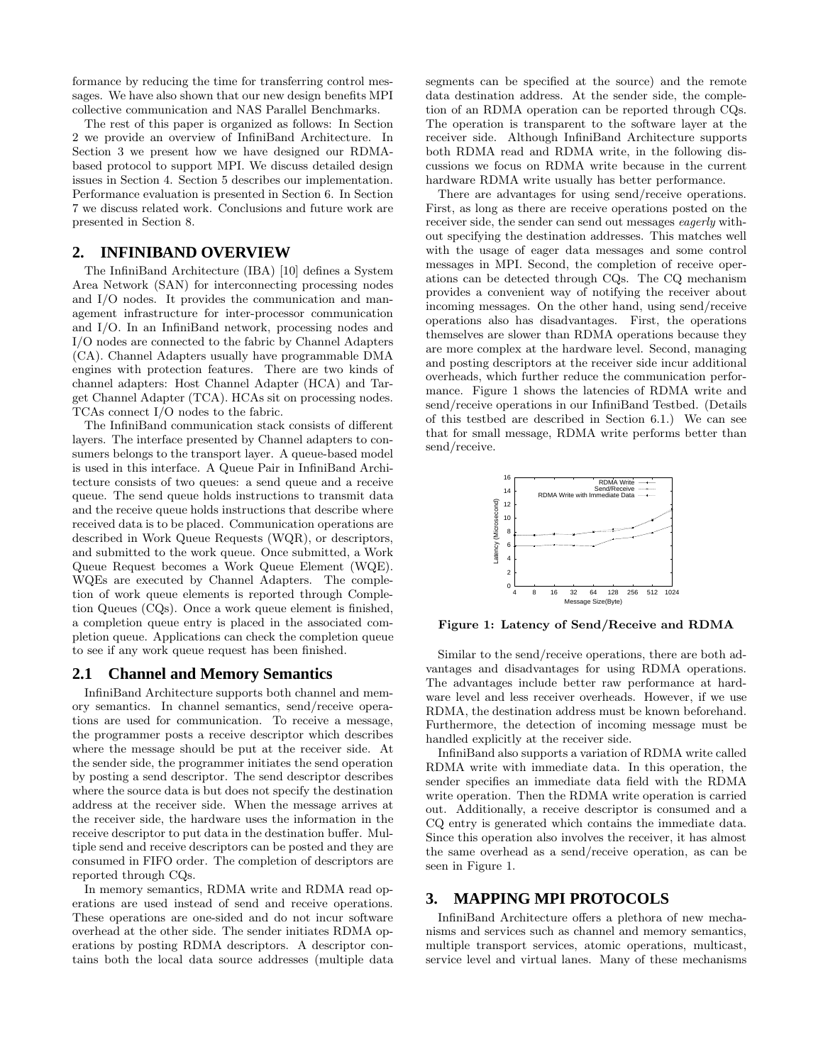formance by reducing the time for transferring control messages. We have also shown that our new design benefits MPI collective communication and NAS Parallel Benchmarks.

The rest of this paper is organized as follows: In Section 2 we provide an overview of InfiniBand Architecture. In Section 3 we present how we have designed our RDMAbased protocol to support MPI. We discuss detailed design issues in Section 4. Section 5 describes our implementation. Performance evaluation is presented in Section 6. In Section 7 we discuss related work. Conclusions and future work are presented in Section 8.

# **2. INFINIBAND OVERVIEW**

The InfiniBand Architecture (IBA) [10] defines a System Area Network (SAN) for interconnecting processing nodes and I/O nodes. It provides the communication and management infrastructure for inter-processor communication and I/O. In an InfiniBand network, processing nodes and I/O nodes are connected to the fabric by Channel Adapters (CA). Channel Adapters usually have programmable DMA engines with protection features. There are two kinds of channel adapters: Host Channel Adapter (HCA) and Target Channel Adapter (TCA). HCAs sit on processing nodes. TCAs connect I/O nodes to the fabric.

The InfiniBand communication stack consists of different layers. The interface presented by Channel adapters to consumers belongs to the transport layer. A queue-based model is used in this interface. A Queue Pair in InfiniBand Architecture consists of two queues: a send queue and a receive queue. The send queue holds instructions to transmit data and the receive queue holds instructions that describe where received data is to be placed. Communication operations are described in Work Queue Requests (WQR), or descriptors, and submitted to the work queue. Once submitted, a Work Queue Request becomes a Work Queue Element (WQE). WQEs are executed by Channel Adapters. The completion of work queue elements is reported through Completion Queues (CQs). Once a work queue element is finished, a completion queue entry is placed in the associated completion queue. Applications can check the completion queue to see if any work queue request has been finished.

#### **2.1 Channel and Memory Semantics**

InfiniBand Architecture supports both channel and memory semantics. In channel semantics, send/receive operations are used for communication. To receive a message, the programmer posts a receive descriptor which describes where the message should be put at the receiver side. At the sender side, the programmer initiates the send operation by posting a send descriptor. The send descriptor describes where the source data is but does not specify the destination address at the receiver side. When the message arrives at the receiver side, the hardware uses the information in the receive descriptor to put data in the destination buffer. Multiple send and receive descriptors can be posted and they are consumed in FIFO order. The completion of descriptors are reported through CQs.

In memory semantics, RDMA write and RDMA read operations are used instead of send and receive operations. These operations are one-sided and do not incur software overhead at the other side. The sender initiates RDMA operations by posting RDMA descriptors. A descriptor contains both the local data source addresses (multiple data segments can be specified at the source) and the remote data destination address. At the sender side, the completion of an RDMA operation can be reported through CQs. The operation is transparent to the software layer at the receiver side. Although InfiniBand Architecture supports both RDMA read and RDMA write, in the following discussions we focus on RDMA write because in the current hardware RDMA write usually has better performance.

There are advantages for using send/receive operations. First, as long as there are receive operations posted on the receiver side, the sender can send out messages eagerly without specifying the destination addresses. This matches well with the usage of eager data messages and some control messages in MPI. Second, the completion of receive operations can be detected through CQs. The CQ mechanism provides a convenient way of notifying the receiver about incoming messages. On the other hand, using send/receive operations also has disadvantages. First, the operations themselves are slower than RDMA operations because they are more complex at the hardware level. Second, managing and posting descriptors at the receiver side incur additional overheads, which further reduce the communication performance. Figure 1 shows the latencies of RDMA write and send/receive operations in our InfiniBand Testbed. (Details of this testbed are described in Section 6.1.) We can see that for small message, RDMA write performs better than send/receive.



Figure 1: Latency of Send/Receive and RDMA

Similar to the send/receive operations, there are both advantages and disadvantages for using RDMA operations. The advantages include better raw performance at hardware level and less receiver overheads. However, if we use RDMA, the destination address must be known beforehand. Furthermore, the detection of incoming message must be handled explicitly at the receiver side.

InfiniBand also supports a variation of RDMA write called RDMA write with immediate data. In this operation, the sender specifies an immediate data field with the RDMA write operation. Then the RDMA write operation is carried out. Additionally, a receive descriptor is consumed and a CQ entry is generated which contains the immediate data. Since this operation also involves the receiver, it has almost the same overhead as a send/receive operation, as can be seen in Figure 1.

# **3. MAPPING MPI PROTOCOLS**

InfiniBand Architecture offers a plethora of new mechanisms and services such as channel and memory semantics, multiple transport services, atomic operations, multicast, service level and virtual lanes. Many of these mechanisms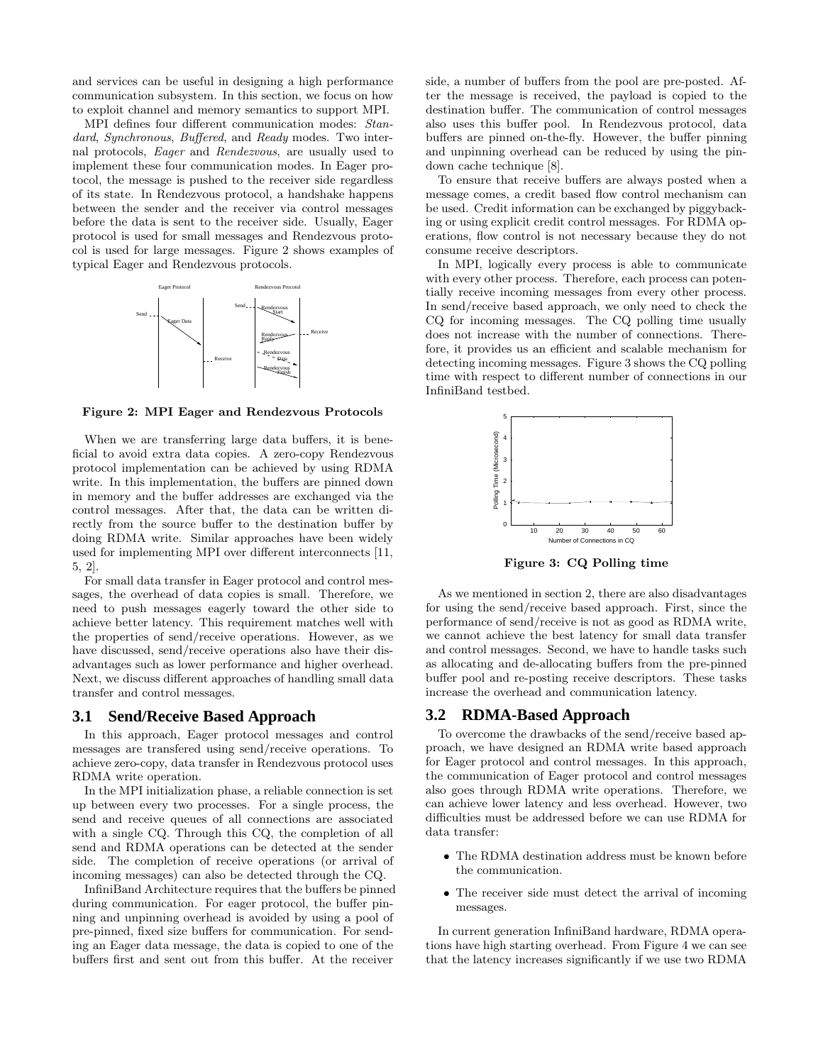and services can be useful in designing a high performance communication subsystem. In this section, we focus on how to exploit channel and memory semantics to support MPI.

MPI defines four different communication modes: Standard, Synchronous, Buffered, and Ready modes. Two internal protocols, Eager and Rendezvous, are usually used to implement these four communication modes. In Eager protocol, the message is pushed to the receiver side regardless of its state. In Rendezvous protocol, a handshake happens between the sender and the receiver via control messages before the data is sent to the receiver side. Usually, Eager protocol is used for small messages and Rendezvous protocol is used for large messages. Figure 2 shows examples of typical Eager and Rendezvous protocols.



Figure 2: MPI Eager and Rendezvous Protocols

When we are transferring large data buffers, it is beneficial to avoid extra data copies. A zero-copy Rendezvous protocol implementation can be achieved by using RDMA write. In this implementation, the buffers are pinned down in memory and the buffer addresses are exchanged via the control messages. After that, the data can be written directly from the source buffer to the destination buffer by doing RDMA write. Similar approaches have been widely used for implementing MPI over different interconnects [11, 5, 2].

For small data transfer in Eager protocol and control messages, the overhead of data copies is small. Therefore, we need to push messages eagerly toward the other side to achieve better latency. This requirement matches well with the properties of send/receive operations. However, as we have discussed, send/receive operations also have their disadvantages such as lower performance and higher overhead. Next, we discuss different approaches of handling small data transfer and control messages.

#### **3.1 Send/Receive Based Approach**

In this approach, Eager protocol messages and control messages are transfered using send/receive operations. To achieve zero-copy, data transfer in Rendezvous protocol uses RDMA write operation.

In the MPI initialization phase, a reliable connection is set up between every two processes. For a single process, the send and receive queues of all connections are associated with a single CQ. Through this CQ, the completion of all send and RDMA operations can be detected at the sender side. The completion of receive operations (or arrival of incoming messages) can also be detected through the CQ.

InfiniBand Architecture requires that the buffers be pinned during communication. For eager protocol, the buffer pinning and unpinning overhead is avoided by using a pool of pre-pinned, fixed size buffers for communication. For sending an Eager data message, the data is copied to one of the buffers first and sent out from this buffer. At the receiver

side, a number of buffers from the pool are pre-posted. After the message is received, the payload is copied to the destination buffer. The communication of control messages also uses this buffer pool. In Rendezvous protocol, data buffers are pinned on-the-fly. However, the buffer pinning and unpinning overhead can be reduced by using the pindown cache technique [8].

To ensure that receive buffers are always posted when a message comes, a credit based flow control mechanism can be used. Credit information can be exchanged by piggybacking or using explicit credit control messages. For RDMA operations, flow control is not necessary because they do not consume receive descriptors.

In MPI, logically every process is able to communicate with every other process. Therefore, each process can potentially receive incoming messages from every other process. In send/receive based approach, we only need to check the CQ for incoming messages. The CQ polling time usually does not increase with the number of connections. Therefore, it provides us an efficient and scalable mechanism for detecting incoming messages. Figure 3 shows the CQ polling time with respect to different number of connections in our InfiniBand testbed.



Figure 3: CQ Polling time

As we mentioned in section 2, there are also disadvantages for using the send/receive based approach. First, since the performance of send/receive is not as good as RDMA write, we cannot achieve the best latency for small data transfer and control messages. Second, we have to handle tasks such as allocating and de-allocating buffers from the pre-pinned buffer pool and re-posting receive descriptors. These tasks increase the overhead and communication latency.

#### **3.2 RDMA-Based Approach**

To overcome the drawbacks of the send/receive based approach, we have designed an RDMA write based approach for Eager protocol and control messages. In this approach, the communication of Eager protocol and control messages also goes through RDMA write operations. Therefore, we can achieve lower latency and less overhead. However, two difficulties must be addressed before we can use RDMA for data transfer:

- The RDMA destination address must be known before the communication.
- The receiver side must detect the arrival of incoming messages.

In current generation InfiniBand hardware, RDMA operations have high starting overhead. From Figure 4 we can see that the latency increases significantly if we use two RDMA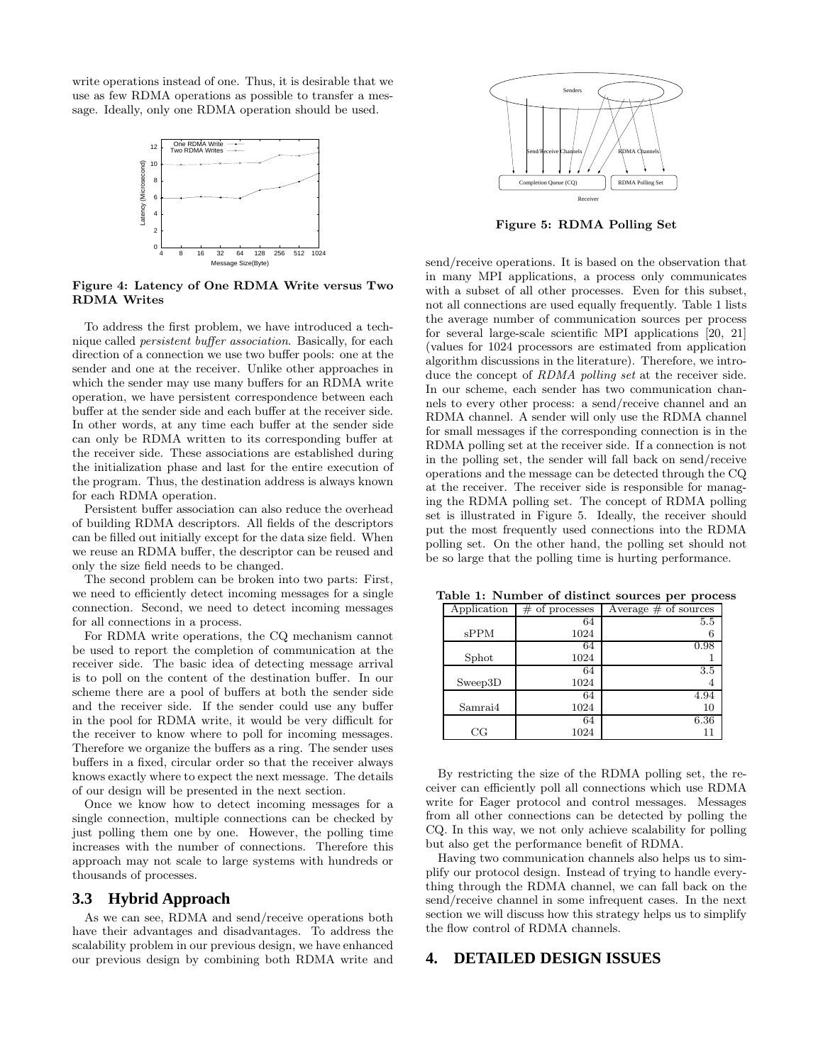write operations instead of one. Thus, it is desirable that we use as few RDMA operations as possible to transfer a message. Ideally, only one RDMA operation should be used.



Figure 4: Latency of One RDMA Write versus Two RDMA Writes

To address the first problem, we have introduced a technique called persistent buffer association. Basically, for each direction of a connection we use two buffer pools: one at the sender and one at the receiver. Unlike other approaches in which the sender may use many buffers for an RDMA write operation, we have persistent correspondence between each buffer at the sender side and each buffer at the receiver side. In other words, at any time each buffer at the sender side can only be RDMA written to its corresponding buffer at the receiver side. These associations are established during the initialization phase and last for the entire execution of the program. Thus, the destination address is always known for each RDMA operation.

Persistent buffer association can also reduce the overhead of building RDMA descriptors. All fields of the descriptors can be filled out initially except for the data size field. When we reuse an RDMA buffer, the descriptor can be reused and only the size field needs to be changed.

The second problem can be broken into two parts: First, we need to efficiently detect incoming messages for a single connection. Second, we need to detect incoming messages for all connections in a process.

For RDMA write operations, the CQ mechanism cannot be used to report the completion of communication at the receiver side. The basic idea of detecting message arrival is to poll on the content of the destination buffer. In our scheme there are a pool of buffers at both the sender side and the receiver side. If the sender could use any buffer in the pool for RDMA write, it would be very difficult for the receiver to know where to poll for incoming messages. Therefore we organize the buffers as a ring. The sender uses buffers in a fixed, circular order so that the receiver always knows exactly where to expect the next message. The details of our design will be presented in the next section.

Once we know how to detect incoming messages for a single connection, multiple connections can be checked by just polling them one by one. However, the polling time increases with the number of connections. Therefore this approach may not scale to large systems with hundreds or thousands of processes.

#### **3.3 Hybrid Approach**

As we can see, RDMA and send/receive operations both have their advantages and disadvantages. To address the scalability problem in our previous design, we have enhanced our previous design by combining both RDMA write and



Figure 5: RDMA Polling Set

send/receive operations. It is based on the observation that in many MPI applications, a process only communicates with a subset of all other processes. Even for this subset, not all connections are used equally frequently. Table 1 lists the average number of communication sources per process for several large-scale scientific MPI applications [20, 21] (values for 1024 processors are estimated from application algorithm discussions in the literature). Therefore, we introduce the concept of RDMA polling set at the receiver side. In our scheme, each sender has two communication channels to every other process: a send/receive channel and an RDMA channel. A sender will only use the RDMA channel for small messages if the corresponding connection is in the RDMA polling set at the receiver side. If a connection is not in the polling set, the sender will fall back on send/receive operations and the message can be detected through the CQ at the receiver. The receiver side is responsible for managing the RDMA polling set. The concept of RDMA polling set is illustrated in Figure 5. Ideally, the receiver should put the most frequently used connections into the RDMA polling set. On the other hand, the polling set should not be so large that the polling time is hurting performance.

| Application   | $#$ of processes | Average $\#$ of sources |
|---------------|------------------|-------------------------|
|               | 64               | 5.5                     |
| sPPM          | 1024             | 6                       |
|               | 64               | 0.98                    |
| Sphot         | 1024             |                         |
|               | 64               | 3.5                     |
| $S$ weep $3D$ | 1024             |                         |
|               | 64               | 4.94                    |
| Samrai4       | 1024             | 10                      |
|               | 64               | 6.36                    |
| CG            | 1024             | 11                      |

Table 1: Number of distinct sources per process

By restricting the size of the RDMA polling set, the receiver can efficiently poll all connections which use RDMA write for Eager protocol and control messages. Messages from all other connections can be detected by polling the CQ. In this way, we not only achieve scalability for polling but also get the performance benefit of RDMA.

Having two communication channels also helps us to simplify our protocol design. Instead of trying to handle everything through the RDMA channel, we can fall back on the send/receive channel in some infrequent cases. In the next section we will discuss how this strategy helps us to simplify the flow control of RDMA channels.

#### **4. DETAILED DESIGN ISSUES**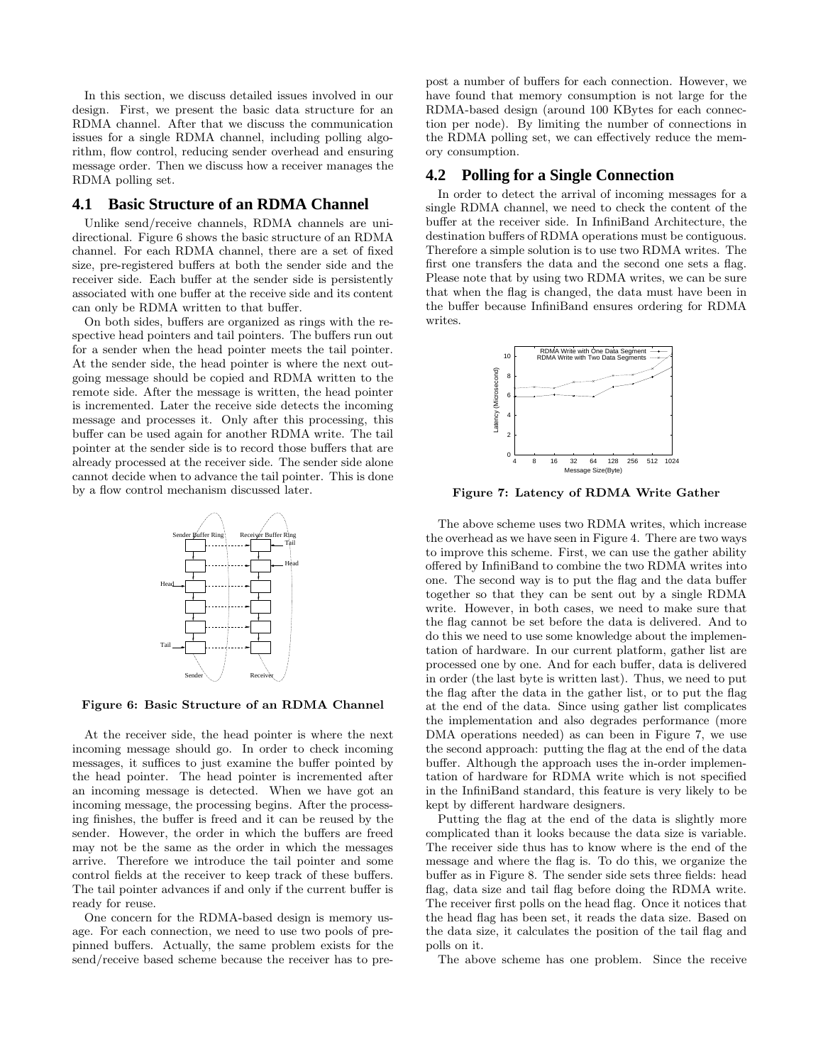In this section, we discuss detailed issues involved in our design. First, we present the basic data structure for an RDMA channel. After that we discuss the communication issues for a single RDMA channel, including polling algorithm, flow control, reducing sender overhead and ensuring message order. Then we discuss how a receiver manages the RDMA polling set.

#### **4.1 Basic Structure of an RDMA Channel**

Unlike send/receive channels, RDMA channels are unidirectional. Figure 6 shows the basic structure of an RDMA channel. For each RDMA channel, there are a set of fixed size, pre-registered buffers at both the sender side and the receiver side. Each buffer at the sender side is persistently associated with one buffer at the receive side and its content can only be RDMA written to that buffer.

On both sides, buffers are organized as rings with the respective head pointers and tail pointers. The buffers run out for a sender when the head pointer meets the tail pointer. At the sender side, the head pointer is where the next outgoing message should be copied and RDMA written to the remote side. After the message is written, the head pointer is incremented. Later the receive side detects the incoming message and processes it. Only after this processing, this buffer can be used again for another RDMA write. The tail pointer at the sender side is to record those buffers that are already processed at the receiver side. The sender side alone cannot decide when to advance the tail pointer. This is done by a flow control mechanism discussed later.



Figure 6: Basic Structure of an RDMA Channel

At the receiver side, the head pointer is where the next incoming message should go. In order to check incoming messages, it suffices to just examine the buffer pointed by the head pointer. The head pointer is incremented after an incoming message is detected. When we have got an incoming message, the processing begins. After the processing finishes, the buffer is freed and it can be reused by the sender. However, the order in which the buffers are freed may not be the same as the order in which the messages arrive. Therefore we introduce the tail pointer and some control fields at the receiver to keep track of these buffers. The tail pointer advances if and only if the current buffer is ready for reuse.

One concern for the RDMA-based design is memory usage. For each connection, we need to use two pools of prepinned buffers. Actually, the same problem exists for the send/receive based scheme because the receiver has to prepost a number of buffers for each connection. However, we have found that memory consumption is not large for the RDMA-based design (around 100 KBytes for each connection per node). By limiting the number of connections in the RDMA polling set, we can effectively reduce the memory consumption.

#### **4.2 Polling for a Single Connection**

In order to detect the arrival of incoming messages for a single RDMA channel, we need to check the content of the buffer at the receiver side. In InfiniBand Architecture, the destination buffers of RDMA operations must be contiguous. Therefore a simple solution is to use two RDMA writes. The first one transfers the data and the second one sets a flag. Please note that by using two RDMA writes, we can be sure that when the flag is changed, the data must have been in the buffer because InfiniBand ensures ordering for RDMA writes.



Figure 7: Latency of RDMA Write Gather

The above scheme uses two RDMA writes, which increase the overhead as we have seen in Figure 4. There are two ways to improve this scheme. First, we can use the gather ability offered by InfiniBand to combine the two RDMA writes into one. The second way is to put the flag and the data buffer together so that they can be sent out by a single RDMA write. However, in both cases, we need to make sure that the flag cannot be set before the data is delivered. And to do this we need to use some knowledge about the implementation of hardware. In our current platform, gather list are processed one by one. And for each buffer, data is delivered in order (the last byte is written last). Thus, we need to put the flag after the data in the gather list, or to put the flag at the end of the data. Since using gather list complicates the implementation and also degrades performance (more DMA operations needed) as can been in Figure 7, we use the second approach: putting the flag at the end of the data buffer. Although the approach uses the in-order implementation of hardware for RDMA write which is not specified in the InfiniBand standard, this feature is very likely to be kept by different hardware designers.

Putting the flag at the end of the data is slightly more complicated than it looks because the data size is variable. The receiver side thus has to know where is the end of the message and where the flag is. To do this, we organize the buffer as in Figure 8. The sender side sets three fields: head flag, data size and tail flag before doing the RDMA write. The receiver first polls on the head flag. Once it notices that the head flag has been set, it reads the data size. Based on the data size, it calculates the position of the tail flag and polls on it.

The above scheme has one problem. Since the receive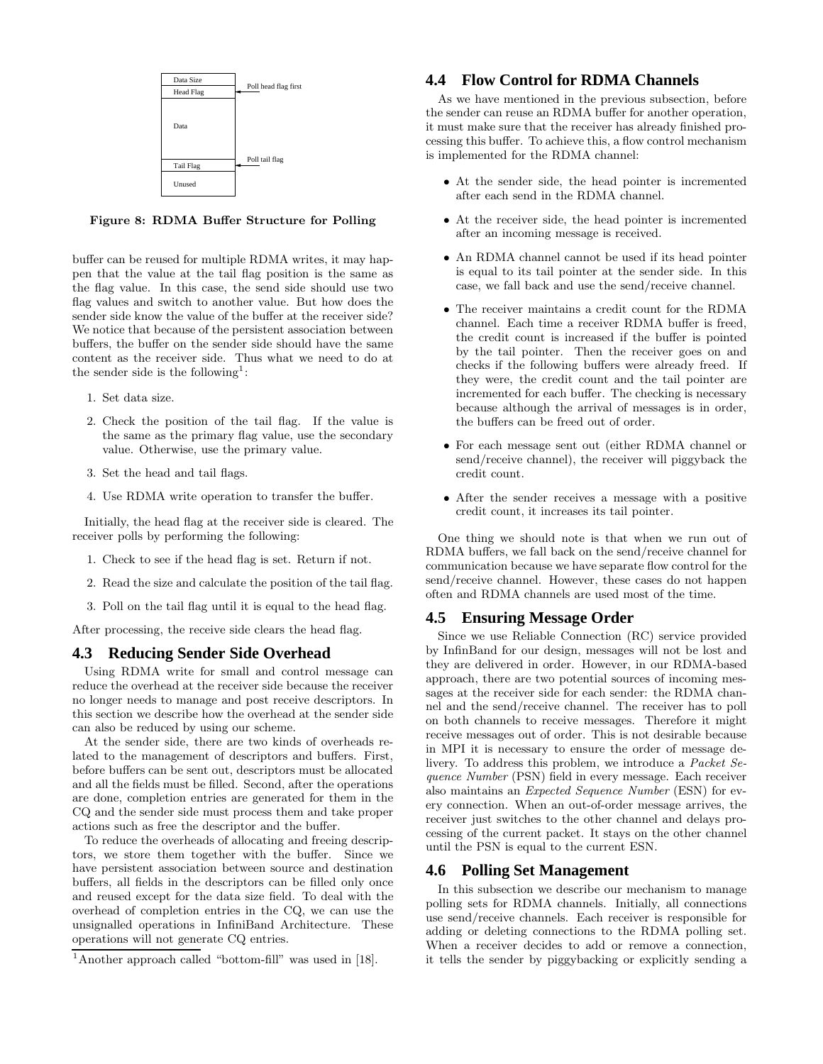

Figure 8: RDMA Buffer Structure for Polling

buffer can be reused for multiple RDMA writes, it may happen that the value at the tail flag position is the same as the flag value. In this case, the send side should use two flag values and switch to another value. But how does the sender side know the value of the buffer at the receiver side? We notice that because of the persistent association between buffers, the buffer on the sender side should have the same content as the receiver side. Thus what we need to do at the sender side is the following<sup>1</sup>:

- 1. Set data size.
- 2. Check the position of the tail flag. If the value is the same as the primary flag value, use the secondary value. Otherwise, use the primary value.
- 3. Set the head and tail flags.
- 4. Use RDMA write operation to transfer the buffer.

Initially, the head flag at the receiver side is cleared. The receiver polls by performing the following:

- 1. Check to see if the head flag is set. Return if not.
- 2. Read the size and calculate the position of the tail flag.
- 3. Poll on the tail flag until it is equal to the head flag.

After processing, the receive side clears the head flag.

#### **4.3 Reducing Sender Side Overhead**

Using RDMA write for small and control message can reduce the overhead at the receiver side because the receiver no longer needs to manage and post receive descriptors. In this section we describe how the overhead at the sender side can also be reduced by using our scheme.

At the sender side, there are two kinds of overheads related to the management of descriptors and buffers. First, before buffers can be sent out, descriptors must be allocated and all the fields must be filled. Second, after the operations are done, completion entries are generated for them in the CQ and the sender side must process them and take proper actions such as free the descriptor and the buffer.

To reduce the overheads of allocating and freeing descriptors, we store them together with the buffer. Since we have persistent association between source and destination buffers, all fields in the descriptors can be filled only once and reused except for the data size field. To deal with the overhead of completion entries in the CQ, we can use the unsignalled operations in InfiniBand Architecture. These operations will not generate CQ entries.

### **4.4 Flow Control for RDMA Channels**

As we have mentioned in the previous subsection, before the sender can reuse an RDMA buffer for another operation, it must make sure that the receiver has already finished processing this buffer. To achieve this, a flow control mechanism is implemented for the RDMA channel:

- At the sender side, the head pointer is incremented after each send in the RDMA channel.
- At the receiver side, the head pointer is incremented after an incoming message is received.
- An RDMA channel cannot be used if its head pointer is equal to its tail pointer at the sender side. In this case, we fall back and use the send/receive channel.
- The receiver maintains a credit count for the RDMA channel. Each time a receiver RDMA buffer is freed, the credit count is increased if the buffer is pointed by the tail pointer. Then the receiver goes on and checks if the following buffers were already freed. If they were, the credit count and the tail pointer are incremented for each buffer. The checking is necessary because although the arrival of messages is in order, the buffers can be freed out of order.
- For each message sent out (either RDMA channel or send/receive channel), the receiver will piggyback the credit count.
- After the sender receives a message with a positive credit count, it increases its tail pointer.

One thing we should note is that when we run out of RDMA buffers, we fall back on the send/receive channel for communication because we have separate flow control for the send/receive channel. However, these cases do not happen often and RDMA channels are used most of the time.

#### **4.5 Ensuring Message Order**

Since we use Reliable Connection (RC) service provided by InfinBand for our design, messages will not be lost and they are delivered in order. However, in our RDMA-based approach, there are two potential sources of incoming messages at the receiver side for each sender: the RDMA channel and the send/receive channel. The receiver has to poll on both channels to receive messages. Therefore it might receive messages out of order. This is not desirable because in MPI it is necessary to ensure the order of message delivery. To address this problem, we introduce a Packet Sequence Number (PSN) field in every message. Each receiver also maintains an Expected Sequence Number (ESN) for every connection. When an out-of-order message arrives, the receiver just switches to the other channel and delays processing of the current packet. It stays on the other channel until the PSN is equal to the current ESN.

#### **4.6 Polling Set Management**

In this subsection we describe our mechanism to manage polling sets for RDMA channels. Initially, all connections use send/receive channels. Each receiver is responsible for adding or deleting connections to the RDMA polling set. When a receiver decides to add or remove a connection, it tells the sender by piggybacking or explicitly sending a

<sup>&</sup>lt;sup>1</sup>Another approach called "bottom-fill" was used in [18].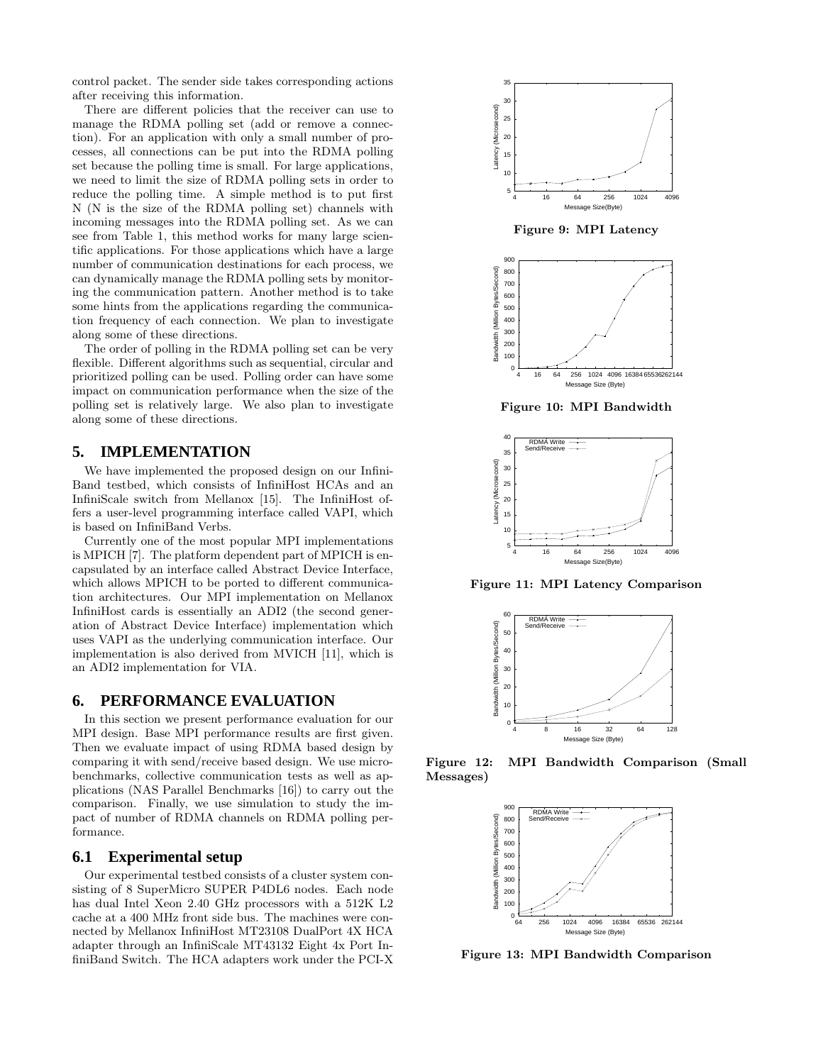control packet. The sender side takes corresponding actions after receiving this information.

There are different policies that the receiver can use to manage the RDMA polling set (add or remove a connection). For an application with only a small number of processes, all connections can be put into the RDMA polling set because the polling time is small. For large applications, we need to limit the size of RDMA polling sets in order to reduce the polling time. A simple method is to put first N (N is the size of the RDMA polling set) channels with incoming messages into the RDMA polling set. As we can see from Table 1, this method works for many large scientific applications. For those applications which have a large number of communication destinations for each process, we can dynamically manage the RDMA polling sets by monitoring the communication pattern. Another method is to take some hints from the applications regarding the communication frequency of each connection. We plan to investigate along some of these directions.

The order of polling in the RDMA polling set can be very flexible. Different algorithms such as sequential, circular and prioritized polling can be used. Polling order can have some impact on communication performance when the size of the polling set is relatively large. We also plan to investigate along some of these directions.

# **5. IMPLEMENTATION**

We have implemented the proposed design on our Infini-Band testbed, which consists of InfiniHost HCAs and an InfiniScale switch from Mellanox [15]. The InfiniHost offers a user-level programming interface called VAPI, which is based on InfiniBand Verbs.

Currently one of the most popular MPI implementations is MPICH [7]. The platform dependent part of MPICH is encapsulated by an interface called Abstract Device Interface, which allows MPICH to be ported to different communication architectures. Our MPI implementation on Mellanox InfiniHost cards is essentially an ADI2 (the second generation of Abstract Device Interface) implementation which uses VAPI as the underlying communication interface. Our implementation is also derived from MVICH [11], which is an ADI2 implementation for VIA.

# **6. PERFORMANCE EVALUATION**

In this section we present performance evaluation for our MPI design. Base MPI performance results are first given. Then we evaluate impact of using RDMA based design by comparing it with send/receive based design. We use microbenchmarks, collective communication tests as well as applications (NAS Parallel Benchmarks [16]) to carry out the comparison. Finally, we use simulation to study the impact of number of RDMA channels on RDMA polling performance.

# **6.1 Experimental setup**

Our experimental testbed consists of a cluster system consisting of 8 SuperMicro SUPER P4DL6 nodes. Each node has dual Intel Xeon 2.40 GHz processors with a 512K L2 cache at a 400 MHz front side bus. The machines were connected by Mellanox InfiniHost MT23108 DualPort 4X HCA adapter through an InfiniScale MT43132 Eight 4x Port InfiniBand Switch. The HCA adapters work under the PCI-X





Figure 11: MPI Latency Comparison



Figure 12: MPI Bandwidth Comparison (Small Messages)



Figure 13: MPI Bandwidth Comparison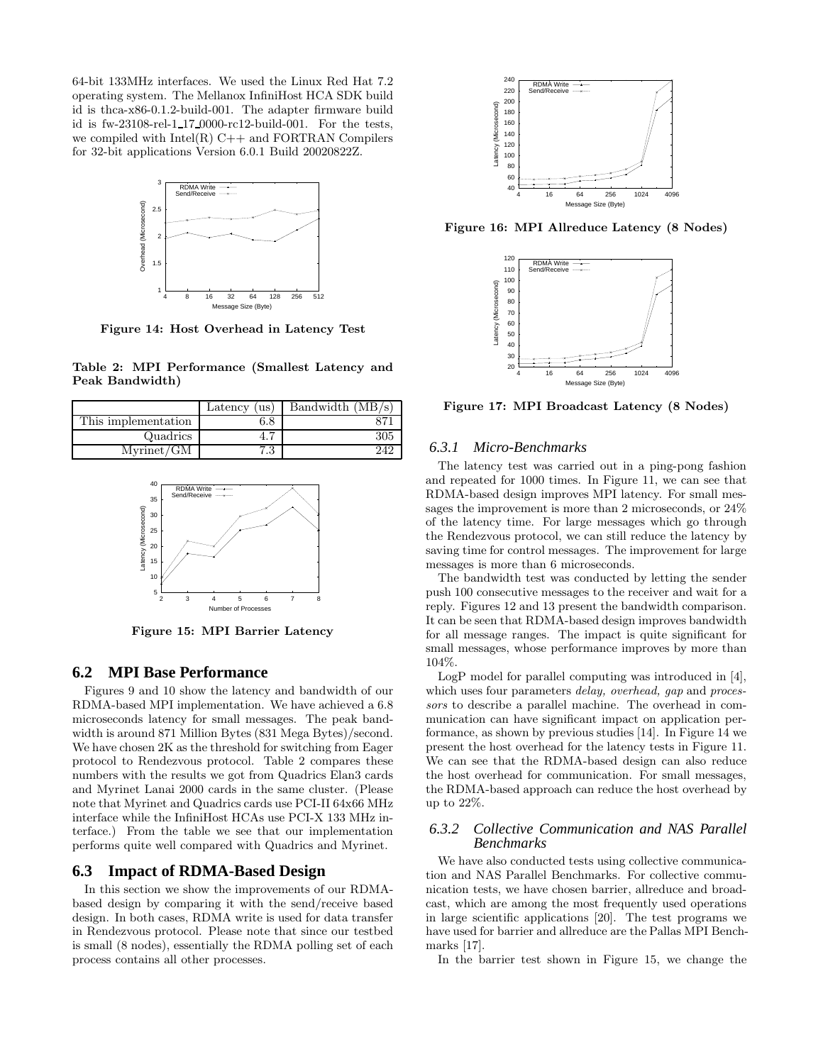64-bit 133MHz interfaces. We used the Linux Red Hat 7.2 operating system. The Mellanox InfiniHost HCA SDK build id is thca-x86-0.1.2-build-001. The adapter firmware build id is fw-23108-rel-1 17 0000-rc12-build-001. For the tests, we compiled with  $Intel(R)$  C++ and FORTRAN Compilers for 32-bit applications Version 6.0.1 Build 20020822Z.



Figure 14: Host Overhead in Latency Test

Table 2: MPI Performance (Smallest Latency and Peak Bandwidth)

|                     | Latency<br>(11S) | Bandwidth $(MB/s)$ |
|---------------------|------------------|--------------------|
| This implementation | 3.8              |                    |
| Quadrics            |                  |                    |
| Myrinet/GM          | €<br>(           |                    |



Figure 15: MPI Barrier Latency

# **6.2 MPI Base Performance**

Figures 9 and 10 show the latency and bandwidth of our RDMA-based MPI implementation. We have achieved a 6.8 microseconds latency for small messages. The peak bandwidth is around 871 Million Bytes (831 Mega Bytes)/second. We have chosen 2K as the threshold for switching from Eager protocol to Rendezvous protocol. Table 2 compares these numbers with the results we got from Quadrics Elan3 cards and Myrinet Lanai 2000 cards in the same cluster. (Please note that Myrinet and Quadrics cards use PCI-II 64x66 MHz interface while the InfiniHost HCAs use PCI-X 133 MHz interface.) From the table we see that our implementation performs quite well compared with Quadrics and Myrinet.

# **6.3 Impact of RDMA-Based Design**

In this section we show the improvements of our RDMAbased design by comparing it with the send/receive based design. In both cases, RDMA write is used for data transfer in Rendezvous protocol. Please note that since our testbed is small (8 nodes), essentially the RDMA polling set of each process contains all other processes.



Figure 16: MPI Allreduce Latency (8 Nodes)



Figure 17: MPI Broadcast Latency (8 Nodes)

#### *6.3.1 Micro-Benchmarks*

The latency test was carried out in a ping-pong fashion and repeated for 1000 times. In Figure 11, we can see that RDMA-based design improves MPI latency. For small messages the improvement is more than 2 microseconds, or 24% of the latency time. For large messages which go through the Rendezvous protocol, we can still reduce the latency by saving time for control messages. The improvement for large messages is more than 6 microseconds.

The bandwidth test was conducted by letting the sender push 100 consecutive messages to the receiver and wait for a reply. Figures 12 and 13 present the bandwidth comparison. It can be seen that RDMA-based design improves bandwidth for all message ranges. The impact is quite significant for small messages, whose performance improves by more than 104%.

LogP model for parallel computing was introduced in [4], which uses four parameters *delay, overhead, gap* and *proces*sors to describe a parallel machine. The overhead in communication can have significant impact on application performance, as shown by previous studies [14]. In Figure 14 we present the host overhead for the latency tests in Figure 11. We can see that the RDMA-based design can also reduce the host overhead for communication. For small messages, the RDMA-based approach can reduce the host overhead by up to 22%.

#### *6.3.2 Collective Communication and NAS Parallel Benchmarks*

We have also conducted tests using collective communication and NAS Parallel Benchmarks. For collective communication tests, we have chosen barrier, allreduce and broadcast, which are among the most frequently used operations in large scientific applications [20]. The test programs we have used for barrier and allreduce are the Pallas MPI Benchmarks [17].

In the barrier test shown in Figure 15, we change the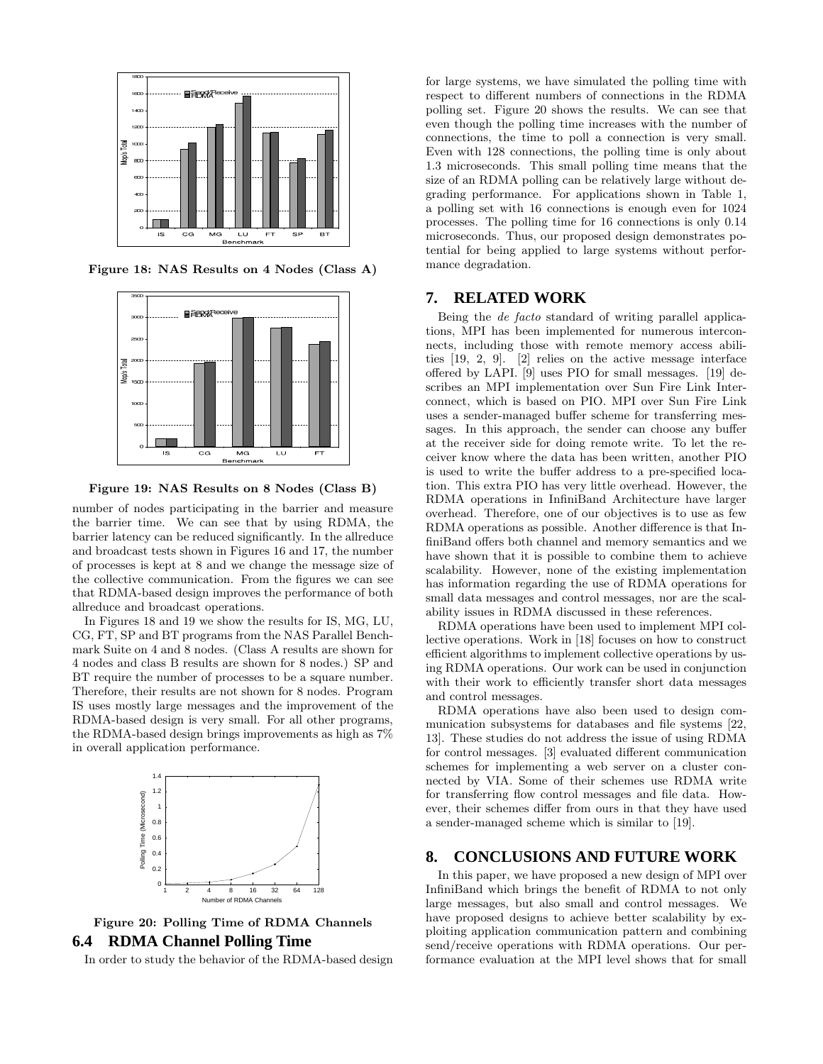

Figure 18: NAS Results on 4 Nodes (Class A)



Figure 19: NAS Results on 8 Nodes (Class B)

number of nodes participating in the barrier and measure the barrier time. We can see that by using RDMA, the barrier latency can be reduced significantly. In the allreduce and broadcast tests shown in Figures 16 and 17, the number of processes is kept at 8 and we change the message size of the collective communication. From the figures we can see that RDMA-based design improves the performance of both allreduce and broadcast operations.

In Figures 18 and 19 we show the results for IS, MG, LU, CG, FT, SP and BT programs from the NAS Parallel Benchmark Suite on 4 and 8 nodes. (Class A results are shown for 4 nodes and class B results are shown for 8 nodes.) SP and BT require the number of processes to be a square number. Therefore, their results are not shown for 8 nodes. Program IS uses mostly large messages and the improvement of the RDMA-based design is very small. For all other programs, the RDMA-based design brings improvements as high as 7% in overall application performance.



Figure 20: Polling Time of RDMA Channels **6.4 RDMA Channel Polling Time**

In order to study the behavior of the RDMA-based design

for large systems, we have simulated the polling time with respect to different numbers of connections in the RDMA polling set. Figure 20 shows the results. We can see that even though the polling time increases with the number of connections, the time to poll a connection is very small. Even with 128 connections, the polling time is only about 1.3 microseconds. This small polling time means that the size of an RDMA polling can be relatively large without degrading performance. For applications shown in Table 1, a polling set with 16 connections is enough even for 1024 processes. The polling time for 16 connections is only 0.14 microseconds. Thus, our proposed design demonstrates potential for being applied to large systems without performance degradation.

# **7. RELATED WORK**

Being the de facto standard of writing parallel applications, MPI has been implemented for numerous interconnects, including those with remote memory access abilities [19, 2, 9]. [2] relies on the active message interface offered by LAPI. [9] uses PIO for small messages. [19] describes an MPI implementation over Sun Fire Link Interconnect, which is based on PIO. MPI over Sun Fire Link uses a sender-managed buffer scheme for transferring messages. In this approach, the sender can choose any buffer at the receiver side for doing remote write. To let the receiver know where the data has been written, another PIO is used to write the buffer address to a pre-specified location. This extra PIO has very little overhead. However, the RDMA operations in InfiniBand Architecture have larger overhead. Therefore, one of our objectives is to use as few RDMA operations as possible. Another difference is that InfiniBand offers both channel and memory semantics and we have shown that it is possible to combine them to achieve scalability. However, none of the existing implementation has information regarding the use of RDMA operations for small data messages and control messages, nor are the scalability issues in RDMA discussed in these references.

RDMA operations have been used to implement MPI collective operations. Work in [18] focuses on how to construct efficient algorithms to implement collective operations by using RDMA operations. Our work can be used in conjunction with their work to efficiently transfer short data messages and control messages.

RDMA operations have also been used to design communication subsystems for databases and file systems [22, 13]. These studies do not address the issue of using RDMA for control messages. [3] evaluated different communication schemes for implementing a web server on a cluster connected by VIA. Some of their schemes use RDMA write for transferring flow control messages and file data. However, their schemes differ from ours in that they have used a sender-managed scheme which is similar to [19].

# **8. CONCLUSIONS AND FUTURE WORK**

In this paper, we have proposed a new design of MPI over InfiniBand which brings the benefit of RDMA to not only large messages, but also small and control messages. We have proposed designs to achieve better scalability by exploiting application communication pattern and combining send/receive operations with RDMA operations. Our performance evaluation at the MPI level shows that for small